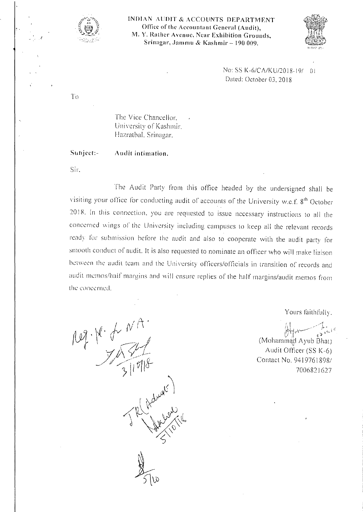

INDIAN AUDIT & ACCOUNTS DEPARTMENT Office of the Accountant Genera! (Audit), M. Y. Rather Avenue, Near Exhibition Grounds, Srinagar, Jammu & Kashmir - 190 009.



No: SS K-6/CA/KU/2018-19/ 01 Dated: October 03, 2018

The Vice Chancellor. University of Kashmir. llazratbal. Srinagar.

Subject:- Audit intimation.

Sir.

The Audit Party from this office headed by the undersigned shall be visiting your office for conducting audit of accounts of the University w.e.f. 8<sup>th</sup> October 201 R. In this connection. you arc requested to issue necessary instructions to all the concerned wings 01' the University including campuses to keep all the relevant records ready for submission before the audit and also to cooperate with the audit party for smooth conduct of audit. It is also requested to nominate an officer who will make liaison between the audit team and the University officers/officials in transition of records and audit memos/hall' margins and will ensure replies of the half margins/audit memos from the concerned.

 $log \cdot \cancel{k} \cdot \cancel{f} \cdot \frac{N}{\cancel{A}}$ Helmont 1

Yours faithfully.

•. I *\_/--L*  iting the set of  $\mathbb{R}^n \times \mathbb{R}^n$ *1~~~1""'- .)* ""I·· (Mohammad Ayub Bhat)

Audit Officer (SS K-6) Contact No. *94197618981*  7006821627

To

*r*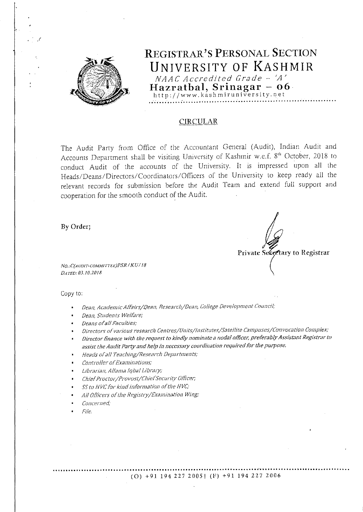

### **CIRCULAR**

The Audit Party from Office of the Accountant General (Audit), Indian Audit and Accounts Department shall be visiting University of Kashmir w.e.f. 8<sup>th</sup> October, 2018 to conduct Audit of the accounts of the University. It is impressed upon all the Heads/Deans/Directors/Coordinators/Officers of the University to keep ready all the relevant records for submission before the Audit Team and extend full support and cooperation for the smooth conduct of the Audit.

By Order;

Private Secretary to Registrar

NO.: C(AUDIT-COMMITTEE)PSR / KU/18 DATED: 03.10.2018

Copy to:

- Dean, Academic Affairs/Dean, Research/Dean, College Development Council;
- Dean, Students Welfare;
- Deans of all Faculties;
- Directors of various research Centres/Units/Institutes/Satellite Campuses/Convocation Complex;
- Director finance with the request to kindly nominate a nodal officer, preferably Assistant Registrar to assist the Audit Party and help in necessary coordination required for the purpose.
- Heads of all Teaching/Research Departments;
- Controller of Examinations;
- Librarian, Allama Iqbal Library;
- Chief Proctor/Provost/Chief Security Officer;
- SS to HVC for kind information of the HVC;
- All Officers of the Registry/Examination Wing;
- Concerned;
- File.